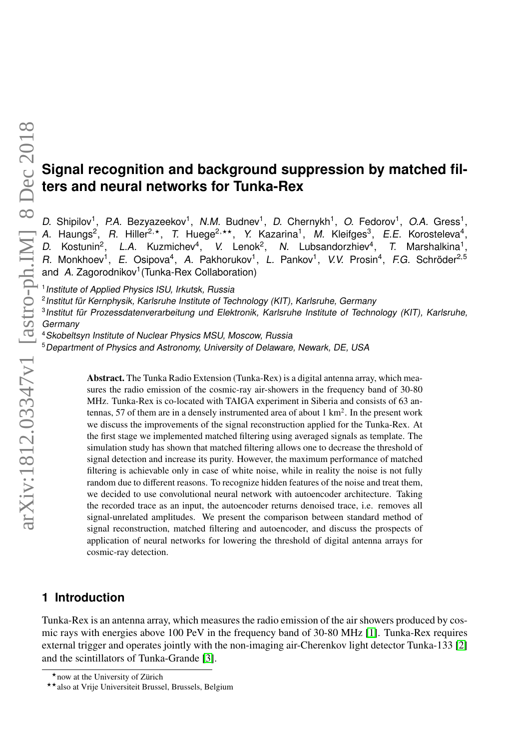# **Signal recognition and background suppression by matched filters and neural networks for Tunka-Rex**

D. Shipilov<sup>1</sup>, P.A. Bezyazeekov<sup>1</sup>, N.M. Budnev<sup>1</sup>, D. Chernykh<sup>1</sup>, O. Fedorov<sup>1</sup>, O.A. Gress<sup>1</sup>, A. Haungs<sup>2</sup>, R. Hiller<sup>2,\*</sup>, T. Huege<sup>2,\*\*</sup>, Y. Kazarina<sup>1</sup>, M. Kleifges<sup>3</sup>, E.E. Korosteleva<sup>4</sup>, D. Kostunin<sup>2</sup>, L.A. Kuzmichev<sup>4</sup>, V. Lenok<sup>2</sup>, N. Lubsandorzhiev<sup>4</sup>, T. Marshalkina<sup>1</sup>, R. Monkhoev<sup>1</sup>, E. Osipova<sup>4</sup>, A. Pakhorukov<sup>1</sup>, L. Pankov<sup>1</sup>, V.V. Prosin<sup>4</sup>, F.G. Schröder<sup>2,5</sup> and A. Zagorodnikov<sup>1</sup> (Tunka-Rex Collaboration)

<sup>1</sup> Institute of Applied Physics ISU, Irkutsk, Russia<br><sup>2</sup> Institut für Kernphysik, Karlsruhe Institute of Technology (KIT), Karlsruhe, Germany<br><sup>3</sup> Institut für Prozessdatenverarbeitung und Elektronik, Karlsruhe Institute o Germany

<sup>4</sup>Skobeltsyn Institute of Nuclear Physics MSU, Moscow, Russia

<sup>5</sup>Department of Physics and Astronomy, University of Delaware, Newark, DE, USA

Abstract. The Tunka Radio Extension (Tunka-Rex) is a digital antenna array, which measures the radio emission of the cosmic-ray air-showers in the frequency band of 30-80 MHz. Tunka-Rex is co-located with TAIGA experiment in Siberia and consists of 63 antennas, 57 of them are in a densely instrumented area of about 1 km<sup>2</sup>. In the present work we discuss the improvements of the signal reconstruction applied for the Tunka-Rex. At the first stage we implemented matched filtering using averaged signals as template. The simulation study has shown that matched filtering allows one to decrease the threshold of signal detection and increase its purity. However, the maximum performance of matched filtering is achievable only in case of white noise, while in reality the noise is not fully random due to different reasons. To recognize hidden features of the noise and treat them, we decided to use convolutional neural network with autoencoder architecture. Taking the recorded trace as an input, the autoencoder returns denoised trace, i.e. removes all signal-unrelated amplitudes. We present the comparison between standard method of signal reconstruction, matched filtering and autoencoder, and discuss the prospects of application of neural networks for lowering the threshold of digital antenna arrays for cosmic-ray detection.

## **1 Introduction**

Tunka-Rex is an antenna array, which measures the radio emission of the air showers produced by cosmic rays with energies above 100 PeV in the frequency band of 30-80 MHz [\[1\]](#page-2-0). Tunka-Rex requires external trigger and operates jointly with the non-imaging air-Cherenkov light detector Tunka-133 [\[2\]](#page-2-1) and the scintillators of Tunka-Grande [\[3\]](#page-2-2).

<sup>\*</sup>now at the University of Zürich

<sup>\*\*</sup> also at Vrije Universiteit Brussel, Brussels, Belgium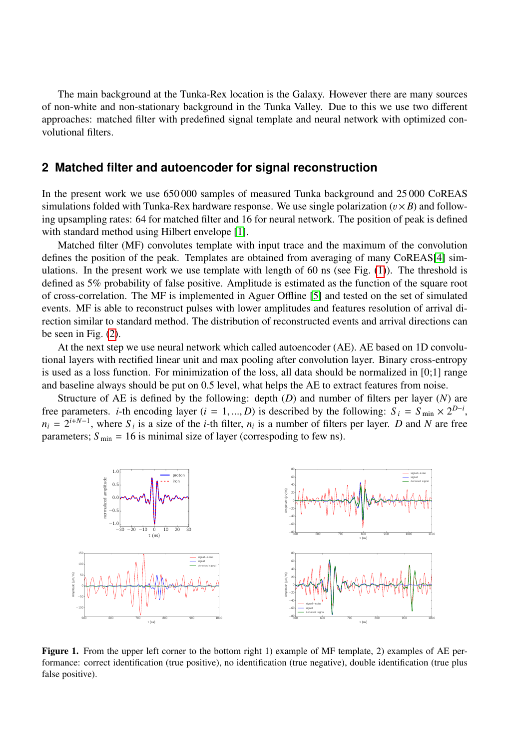The main background at the Tunka-Rex location is the Galaxy. However there are many sources of non-white and non-stationary background in the Tunka Valley. Due to this we use two different approaches: matched filter with predefined signal template and neural network with optimized convolutional filters.

#### **2 Matched filter and autoencoder for signal reconstruction**

In the present work we use 650 000 samples of measured Tunka background and 25 000 CoREAS simulations folded with Tunka-Rex hardware response. We use single polarization  $(v \times B)$  and following upsampling rates: 64 for matched filter and 16 for neural network. The position of peak is defined with standard method using Hilbert envelope [\[1\]](#page-2-0).

Matched filter (MF) convolutes template with input trace and the maximum of the convolution defines the position of the peak. Templates are obtained from averaging of many CoREAS[\[4\]](#page-2-3) simulations. In the present work we use template with length of 60 ns (see Fig.  $(1)$ ). The threshold is defined as 5% probability of false positive. Amplitude is estimated as the function of the square root of cross-correlation. The MF is implemented in Aguer Offline [\[5\]](#page-2-4) and tested on the set of simulated events. MF is able to reconstruct pulses with lower amplitudes and features resolution of arrival direction similar to standard method. The distribution of reconstructed events and arrival directions can be seen in Fig. [\(2\)](#page-2-5).

At the next step we use neural network which called autoencoder (AE). AE based on 1D convolutional layers with rectified linear unit and max pooling after convolution layer. Binary cross-entropy is used as a loss function. For minimization of the loss, all data should be normalized in [0;1] range and baseline always should be put on 0.5 level, what helps the AE to extract features from noise.

Structure of AE is defined by the following: depth (*D*) and number of filters per layer (*N*) are free parameters. *i*-th encoding layer (*i* = 1, ..., *D*) is described by the following:  $S_i = S_{\text{min}} \times 2^{D-i}$ ,  $n_i = 2^{i+N-1}$  where *S*, is a size of the *i*-th filter *n*, is a number of filters per layer. *D* and *N* ar  $n_i = 2^{i+N-1}$ , where  $S_i$  is a size of the *i*-th filter,  $n_i$  is a number of filters per layer. *D* and *N* are free parameters;  $S_{\text{min}} = 16$  is minimal size of layer (correspoding to few ns).



<span id="page-1-0"></span>Figure 1. From the upper left corner to the bottom right 1) example of MF template, 2) examples of AE performance: correct identification (true positive), no identification (true negative), double identification (true plus false positive).